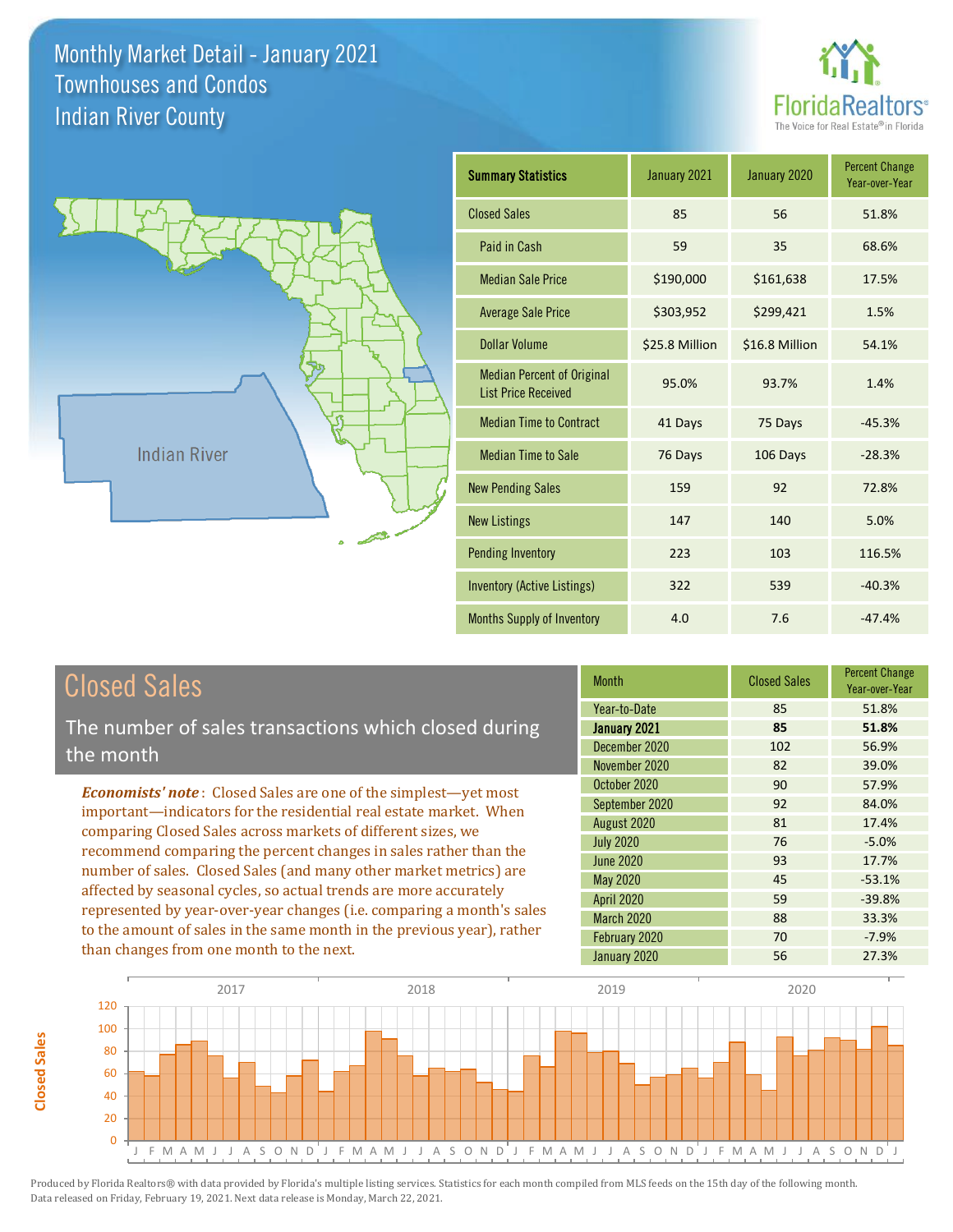



| <b>Summary Statistics</b>                                       | January 2021   | January 2020   | <b>Percent Change</b><br>Year-over-Year |
|-----------------------------------------------------------------|----------------|----------------|-----------------------------------------|
| <b>Closed Sales</b>                                             | 85             | 56             | 51.8%                                   |
| Paid in Cash                                                    | 59             | 35             | 68.6%                                   |
| <b>Median Sale Price</b>                                        | \$190,000      | \$161,638      | 17.5%                                   |
| <b>Average Sale Price</b>                                       | \$303,952      | \$299,421      | 1.5%                                    |
| Dollar Volume                                                   | \$25.8 Million | \$16.8 Million | 54.1%                                   |
| <b>Median Percent of Original</b><br><b>List Price Received</b> | 95.0%          | 93.7%          | 1.4%                                    |
| <b>Median Time to Contract</b>                                  | 41 Days        | 75 Days        | $-45.3%$                                |
| <b>Median Time to Sale</b>                                      | 76 Days        | 106 Days       | $-28.3%$                                |
| <b>New Pending Sales</b>                                        | 159            | 92             | 72.8%                                   |
| <b>New Listings</b>                                             | 147            | 140            | 5.0%                                    |
| <b>Pending Inventory</b>                                        | 223            | 103            | 116.5%                                  |
| <b>Inventory (Active Listings)</b>                              | 322            | 539            | $-40.3%$                                |
| Months Supply of Inventory                                      | 4.0            | 7.6            | $-47.4%$                                |

**Closed Sales**

**Closed Sales** 

The number of sales transactions which closed during the month

*Economists' note* : Closed Sales are one of the simplest—yet most important—indicators for the residential real estate market. When comparing Closed Sales across markets of different sizes, we recommend comparing the percent changes in sales rather than the number of sales. Closed Sales (and many other market metrics) are affected by seasonal cycles, so actual trends are more accurately represented by year-over-year changes (i.e. comparing a month's sales to the amount of sales in the same month in the previous year), rather than changes from one month to the next.

| <b>Month</b>      | <b>Closed Sales</b> | <b>Percent Change</b><br>Year-over-Year |  |
|-------------------|---------------------|-----------------------------------------|--|
| Year-to-Date      | 85                  | 51.8%                                   |  |
| January 2021      | 85                  | 51.8%                                   |  |
| December 2020     | 102                 | 56.9%                                   |  |
| November 2020     | 82                  | 39.0%                                   |  |
| October 2020      | 90                  | 57.9%                                   |  |
| September 2020    | 92                  | 84.0%                                   |  |
| August 2020       | 81                  | 17.4%                                   |  |
| <b>July 2020</b>  | 76                  | $-5.0%$                                 |  |
| <b>June 2020</b>  | 93                  | 17.7%                                   |  |
| May 2020          | 45                  | $-53.1%$                                |  |
| <b>April 2020</b> | 59                  | $-39.8%$                                |  |
| <b>March 2020</b> | 88                  | 33.3%                                   |  |
| February 2020     | 70                  | $-7.9%$                                 |  |
| January 2020      | 56                  | 27.3%                                   |  |

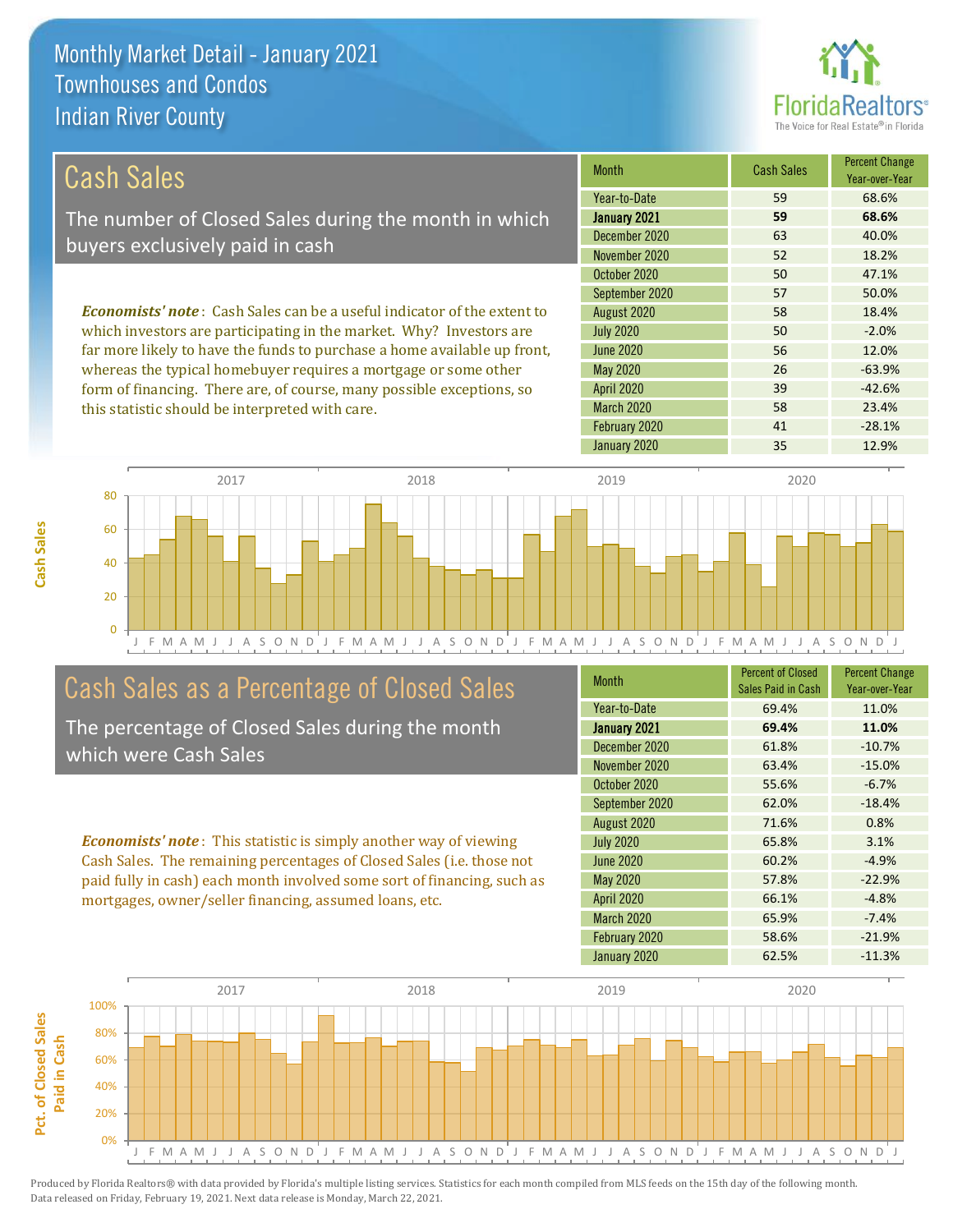this statistic should be interpreted with care.



58 23.4%

| Cash Sales                                                                     | <b>Month</b>      | <b>Cash Sales</b> | <b>Percent Change</b><br>Year-over-Year |
|--------------------------------------------------------------------------------|-------------------|-------------------|-----------------------------------------|
|                                                                                | Year-to-Date      | 59                | 68.6%                                   |
| The number of Closed Sales during the month in which                           | January 2021      | 59                | 68.6%                                   |
| buyers exclusively paid in cash                                                | December 2020     | 63                | 40.0%                                   |
|                                                                                | November 2020     | 52                | 18.2%                                   |
|                                                                                | October 2020      | 50                | 47.1%                                   |
|                                                                                | September 2020    | 57                | 50.0%                                   |
| <b>Economists' note:</b> Cash Sales can be a useful indicator of the extent to | August 2020       | 58                | 18.4%                                   |
| which investors are participating in the market. Why? Investors are            | <b>July 2020</b>  | 50                | $-2.0%$                                 |
| far more likely to have the funds to purchase a home available up front,       | June 2020         | 56                | 12.0%                                   |
| whereas the typical homebuyer requires a mortgage or some other                | May 2020          | 26                | $-63.9%$                                |
| form of financing. There are, of course, many possible exceptions, so          | <b>April 2020</b> | 39                | $-42.6%$                                |

J F M A M J J A S O N D J F M A M J J A S O N D J F M A M J J A S O N D J F M A M J J A S O N D J 0 20 40 60 80 2017 2018 2019 2020

## Cash Sales as a Percentage of Closed Sales

The percentage of Closed Sales during the month which were Cash Sales

*Economists' note* : This statistic is simply another way of viewing Cash Sales. The remaining percentages of Closed Sales (i.e. those not paid fully in cash) each month involved some sort of financing, such as mortgages, owner/seller financing, assumed loans, etc.

| <b>Month</b>      | <b>Percent of Closed</b><br>Sales Paid in Cash | <b>Percent Change</b><br>Year-over-Year |
|-------------------|------------------------------------------------|-----------------------------------------|
| Year-to-Date      | 69.4%                                          | 11.0%                                   |
| January 2021      | 69.4%                                          | 11.0%                                   |
| December 2020     | 61.8%                                          | $-10.7%$                                |
| November 2020     | 63.4%                                          | $-15.0%$                                |
| October 2020      | 55.6%                                          | $-6.7%$                                 |
| September 2020    | 62.0%                                          | $-18.4%$                                |
| August 2020       | 71.6%                                          | 0.8%                                    |
| <b>July 2020</b>  | 65.8%                                          | 3.1%                                    |
| <b>June 2020</b>  | 60.2%                                          | $-4.9%$                                 |
| <b>May 2020</b>   | 57.8%                                          | $-22.9%$                                |
| <b>April 2020</b> | 66.1%                                          | $-4.8%$                                 |
| March 2020        | 65.9%                                          | $-7.4%$                                 |
| February 2020     | 58.6%                                          | $-21.9%$                                |
| January 2020      | 62.5%                                          | $-11.3%$                                |

January 2020 **12.9%** 

February 2020 41 -28.1%

March 2020

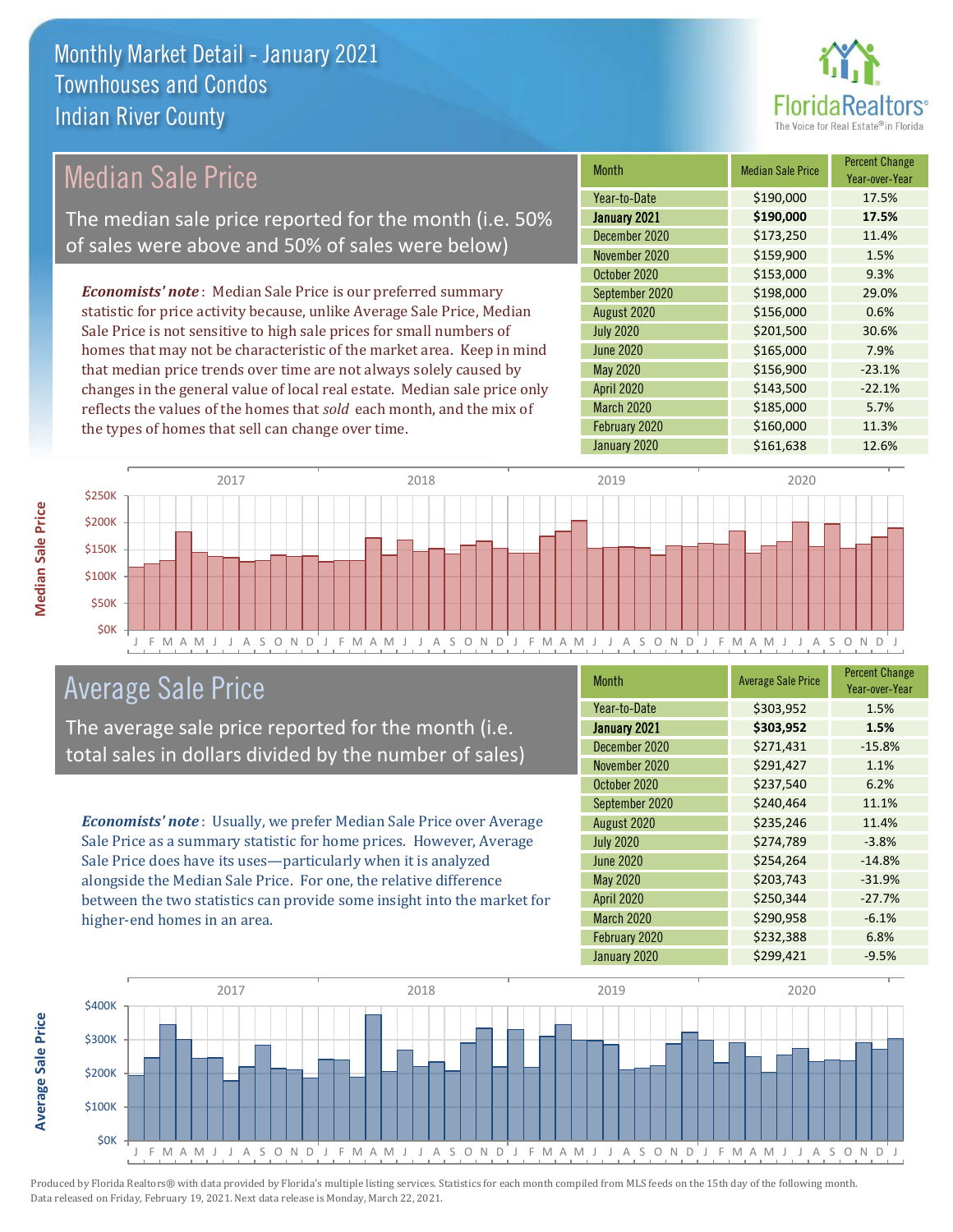

## Median Sale Price

The median sale price reported for the month (i.e. 50% of sales were above and 50% of sales were below)

*Economists' note* : Median Sale Price is our preferred summary statistic for price activity because, unlike Average Sale Price, Median Sale Price is not sensitive to high sale prices for small numbers of homes that may not be characteristic of the market area. Keep in mind that median price trends over time are not always solely caused by changes in the general value of local real estate. Median sale price only reflects the values of the homes that *sold* each month, and the mix of the types of homes that sell can change over time.

| <b>Month</b>     | <b>Median Sale Price</b> | <b>Percent Change</b><br>Year-over-Year |
|------------------|--------------------------|-----------------------------------------|
| Year-to-Date     | \$190,000                | 17.5%                                   |
| January 2021     | \$190,000                | 17.5%                                   |
| December 2020    | \$173,250                | 11.4%                                   |
| November 2020    | \$159,900                | 1.5%                                    |
| October 2020     | \$153,000                | 9.3%                                    |
| September 2020   | \$198,000                | 29.0%                                   |
| August 2020      | \$156,000                | 0.6%                                    |
| <b>July 2020</b> | \$201,500                | 30.6%                                   |
| <b>June 2020</b> | \$165,000                | 7.9%                                    |
| May 2020         | \$156,900                | $-23.1%$                                |
| April 2020       | \$143,500                | $-22.1%$                                |
| March 2020       | \$185,000                | 5.7%                                    |
| February 2020    | \$160,000                | 11.3%                                   |
| January 2020     | \$161,638                | 12.6%                                   |



## Average Sale Price

The average sale price reported for the month (i.e. total sales in dollars divided by the number of sales)

*Economists' note* : Usually, we prefer Median Sale Price over Average Sale Price as a summary statistic for home prices. However, Average Sale Price does have its uses—particularly when it is analyzed alongside the Median Sale Price. For one, the relative difference between the two statistics can provide some insight into the market for higher-end homes in an area.

| Month            | <b>Average Sale Price</b> | <b>Percent Change</b><br>Year-over-Year |
|------------------|---------------------------|-----------------------------------------|
| Year-to-Date     | \$303,952                 | 1.5%                                    |
| January 2021     | \$303,952                 | 1.5%                                    |
| December 2020    | \$271,431                 | $-15.8%$                                |
| November 2020    | \$291,427                 | 1.1%                                    |
| October 2020     | \$237,540                 | 6.2%                                    |
| September 2020   | \$240,464                 | 11.1%                                   |
| August 2020      | \$235,246                 | 11.4%                                   |
| <b>July 2020</b> | \$274,789                 | $-3.8%$                                 |
| <b>June 2020</b> | \$254,264                 | $-14.8%$                                |
| <b>May 2020</b>  | \$203,743                 | $-31.9%$                                |
| April 2020       | \$250,344                 | $-27.7%$                                |
| March 2020       | \$290,958                 | $-6.1%$                                 |
| February 2020    | \$232,388                 | 6.8%                                    |
| January 2020     | \$299,421                 | $-9.5%$                                 |



**Median Sale Price**

**Median Sale Price**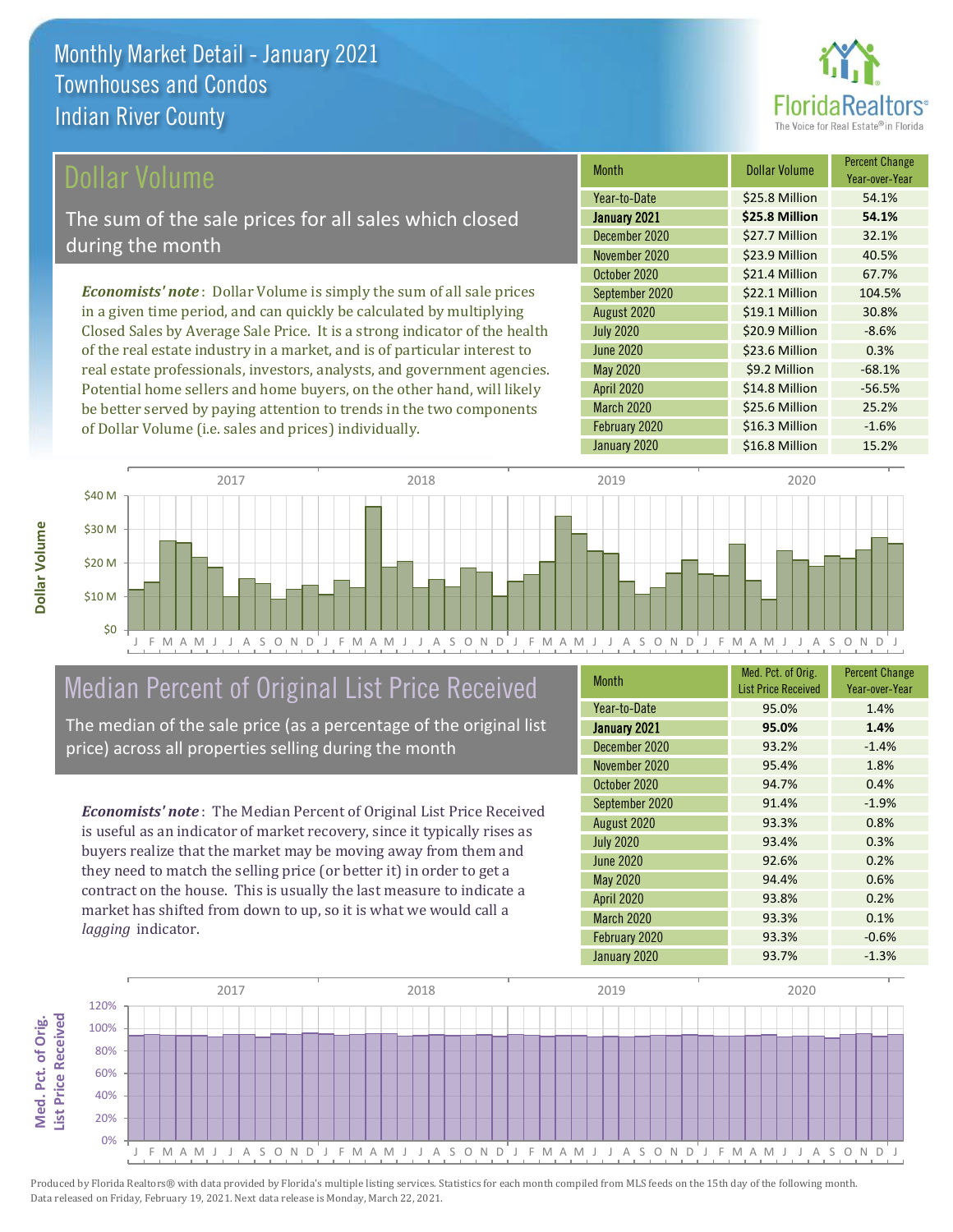

### ollar Volume

The sum of the sale prices for all sales which closed during the month

*Economists' note* : Dollar Volume is simply the sum of all sale prices in a given time period, and can quickly be calculated by multiplying Closed Sales by Average Sale Price. It is a strong indicator of the health of the real estate industry in a market, and is of particular interest to real estate professionals, investors, analysts, and government agencies. Potential home sellers and home buyers, on the other hand, will likely be better served by paying attention to trends in the two components of Dollar Volume (i.e. sales and prices) individually.

| <b>Month</b>      | <b>Dollar Volume</b> | <b>Percent Change</b><br>Year-over-Year |
|-------------------|----------------------|-----------------------------------------|
| Year-to-Date      | \$25.8 Million       | 54.1%                                   |
| January 2021      | \$25.8 Million       | 54.1%                                   |
| December 2020     | \$27.7 Million       | 32.1%                                   |
| November 2020     | \$23.9 Million       | 40.5%                                   |
| October 2020      | \$21.4 Million       | 67.7%                                   |
| September 2020    | \$22.1 Million       | 104.5%                                  |
| August 2020       | \$19.1 Million       | 30.8%                                   |
| <b>July 2020</b>  | \$20.9 Million       | $-8.6%$                                 |
| <b>June 2020</b>  | \$23.6 Million       | 0.3%                                    |
| <b>May 2020</b>   | \$9.2 Million        | $-68.1%$                                |
| <b>April 2020</b> | \$14.8 Million       | $-56.5%$                                |
| March 2020        | \$25.6 Million       | 25.2%                                   |
| February 2020     | \$16.3 Million       | $-1.6%$                                 |
| January 2020      | \$16.8 Million       | 15.2%                                   |



## Median Percent of Original List Price Received

The median of the sale price (as a percentage of the original list price) across all properties selling during the month

*Economists' note* : The Median Percent of Original List Price Received is useful as an indicator of market recovery, since it typically rises as buyers realize that the market may be moving away from them and they need to match the selling price (or better it) in order to get a contract on the house. This is usually the last measure to indicate a market has shifted from down to up, so it is what we would call a *lagging* indicator.

| <b>Month</b>      | Med. Pct. of Orig.<br><b>List Price Received</b> | <b>Percent Change</b><br>Year-over-Year |
|-------------------|--------------------------------------------------|-----------------------------------------|
| Year-to-Date      | 95.0%                                            | 1.4%                                    |
| January 2021      | 95.0%                                            | 1.4%                                    |
| December 2020     | 93.2%                                            | $-1.4%$                                 |
| November 2020     | 95.4%                                            | 1.8%                                    |
| October 2020      | 94.7%                                            | 0.4%                                    |
| September 2020    | 91.4%                                            | $-1.9%$                                 |
| August 2020       | 93.3%                                            | 0.8%                                    |
| <b>July 2020</b>  | 93.4%                                            | 0.3%                                    |
| <b>June 2020</b>  | 92.6%                                            | 0.2%                                    |
| <b>May 2020</b>   | 94.4%                                            | 0.6%                                    |
| <b>April 2020</b> | 93.8%                                            | 0.2%                                    |
| <b>March 2020</b> | 93.3%                                            | 0.1%                                    |
| February 2020     | 93.3%                                            | $-0.6%$                                 |
| January 2020      | 93.7%                                            | $-1.3%$                                 |



**Dollar Volume**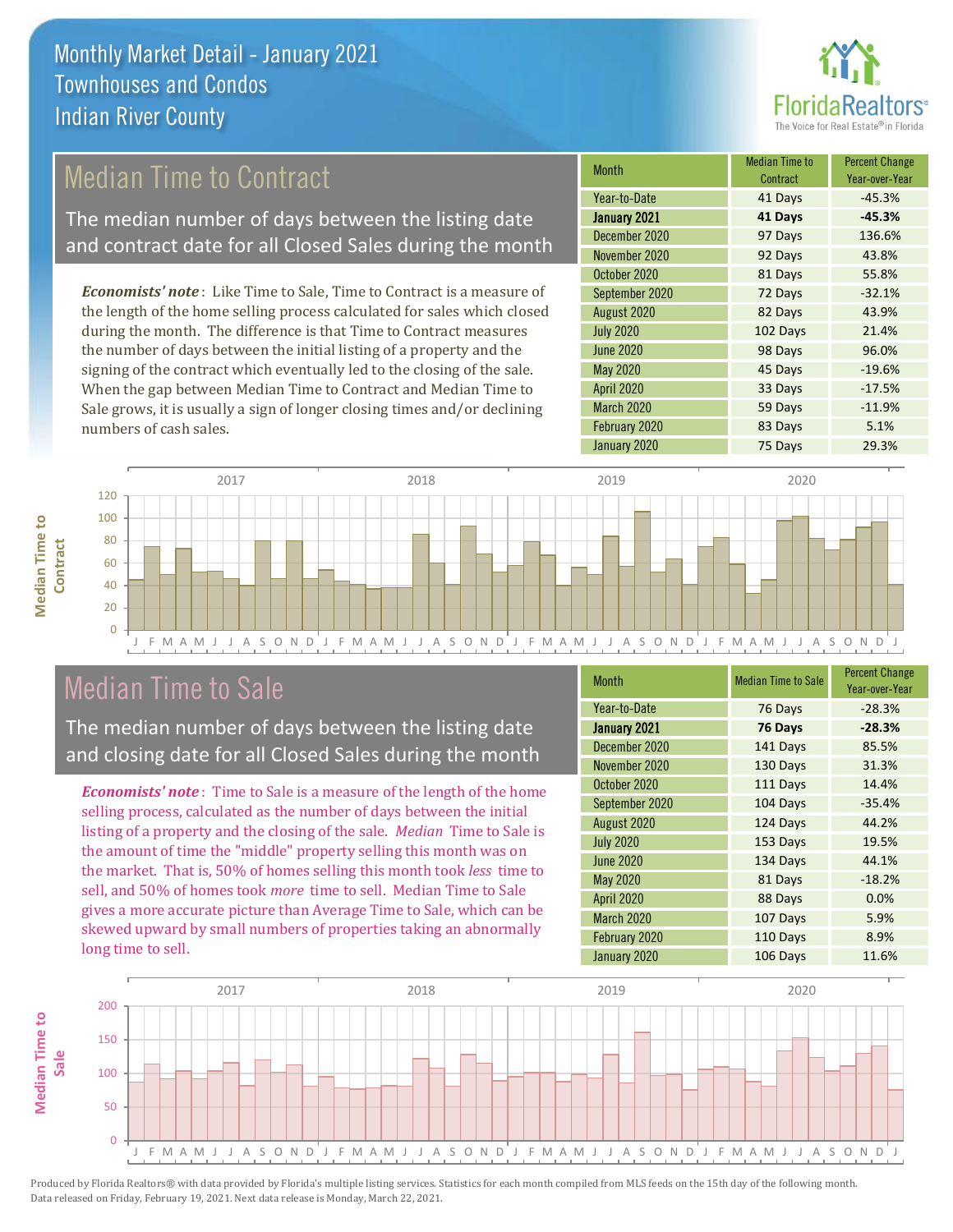

## Median Time to Contract

The median number of days between the listing date and contract date for all Closed Sales during the month

*Economists' note* : Like Time to Sale, Time to Contract is a measure of the length of the home selling process calculated for sales which closed during the month. The difference is that Time to Contract measures the number of days between the initial listing of a property and the signing of the contract which eventually led to the closing of the sale. When the gap between Median Time to Contract and Median Time to Sale grows, it is usually a sign of longer closing times and/or declining numbers of cash sales.

| Month            | <b>Median Time to</b><br>Contract | <b>Percent Change</b><br>Year-over-Year |
|------------------|-----------------------------------|-----------------------------------------|
| Year-to-Date     | 41 Days                           | $-45.3%$                                |
| January 2021     | 41 Days                           | $-45.3%$                                |
| December 2020    | 97 Days                           | 136.6%                                  |
| November 2020    | 92 Days                           | 43.8%                                   |
| October 2020     | 81 Days                           | 55.8%                                   |
| September 2020   | 72 Days                           | $-32.1%$                                |
| August 2020      | 82 Days                           | 43.9%                                   |
| <b>July 2020</b> | 102 Days                          | 21.4%                                   |
| <b>June 2020</b> | 98 Days                           | 96.0%                                   |
| <b>May 2020</b>  | 45 Days                           | $-19.6%$                                |
| April 2020       | 33 Days                           | $-17.5%$                                |
| March 2020       | 59 Days                           | $-11.9%$                                |
| February 2020    | 83 Days                           | 5.1%                                    |
| January 2020     | 75 Days                           | 29.3%                                   |



## Median Time to Sale

**Median Time to** 

**Median Time to** 

The median number of days between the listing date and closing date for all Closed Sales during the month

*Economists' note* : Time to Sale is a measure of the length of the home selling process, calculated as the number of days between the initial listing of a property and the closing of the sale. *Median* Time to Sale is the amount of time the "middle" property selling this month was on the market. That is, 50% of homes selling this month took *less* time to sell, and 50% of homes took *more* time to sell. Median Time to Sale gives a more accurate picture than Average Time to Sale, which can be skewed upward by small numbers of properties taking an abnormally long time to sell.

| <b>Month</b>      | <b>Median Time to Sale</b> | <b>Percent Change</b><br>Year-over-Year |
|-------------------|----------------------------|-----------------------------------------|
| Year-to-Date      | 76 Days                    | $-28.3%$                                |
| January 2021      | 76 Days                    | $-28.3%$                                |
| December 2020     | 141 Days                   | 85.5%                                   |
| November 2020     | 130 Days                   | 31.3%                                   |
| October 2020      | 111 Days                   | 14.4%                                   |
| September 2020    | 104 Days                   | $-35.4%$                                |
| August 2020       | 124 Days                   | 44.2%                                   |
| <b>July 2020</b>  | 153 Days                   | 19.5%                                   |
| <b>June 2020</b>  | 134 Days                   | 44.1%                                   |
| <b>May 2020</b>   | 81 Days                    | $-18.2%$                                |
| <b>April 2020</b> | 88 Days                    | 0.0%                                    |
| March 2020        | 107 Days                   | 5.9%                                    |
| February 2020     | 110 Days                   | 8.9%                                    |
| January 2020      | 106 Days                   | 11.6%                                   |

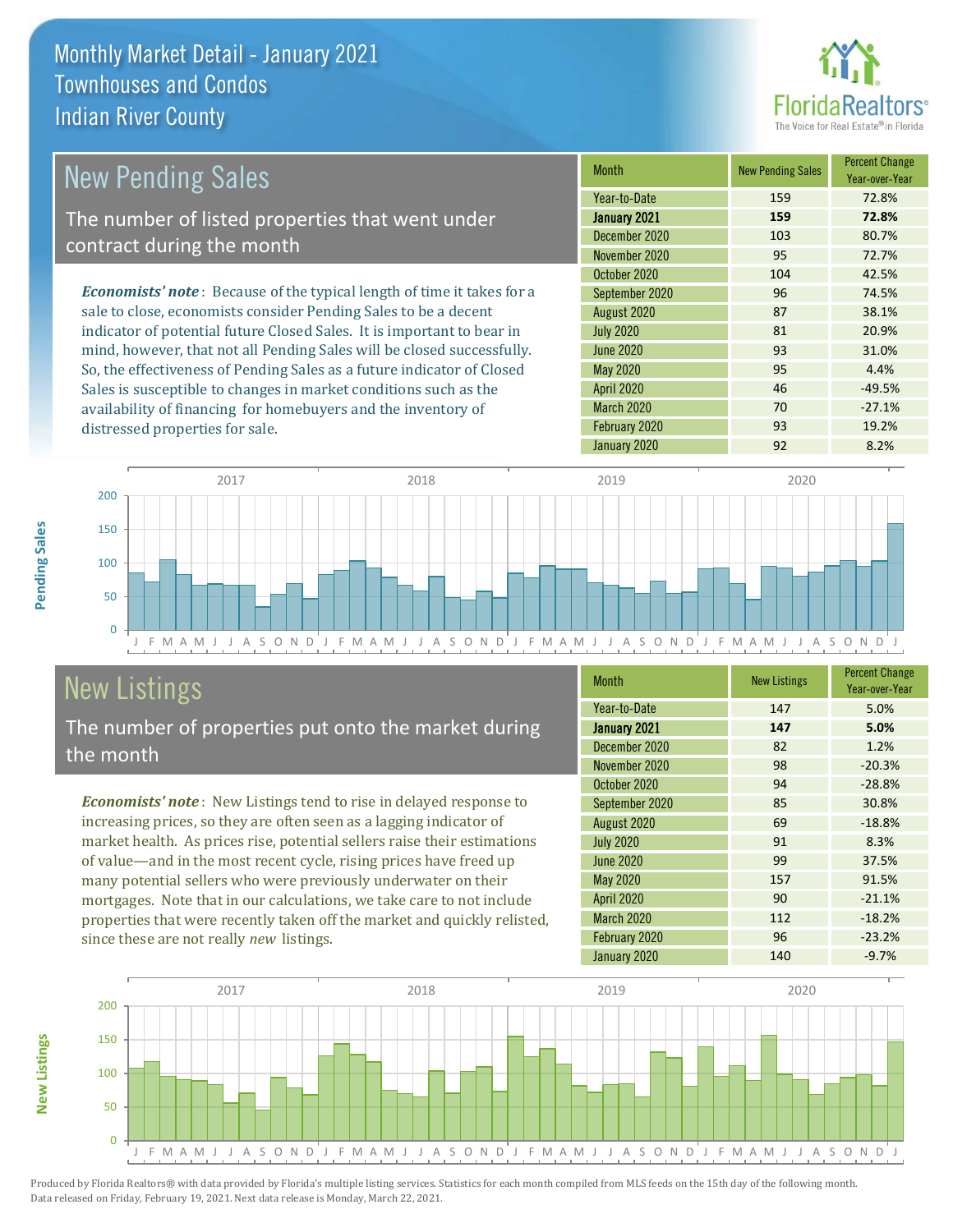

| <b>New Pending Sales</b>                                                       | <b>Month</b>      | <b>New Pending Sales</b> | <b>Percent Change</b><br>Year-over-Year |
|--------------------------------------------------------------------------------|-------------------|--------------------------|-----------------------------------------|
|                                                                                | Year-to-Date      | 159                      | 72.8%                                   |
| The number of listed properties that went under                                | January 2021      | 159                      | 72.8%                                   |
| contract during the month                                                      | December 2020     | 103                      | 80.7%                                   |
|                                                                                | November 2020     | 95                       | 72.7%                                   |
|                                                                                | October 2020      | 104                      | 42.5%                                   |
| <b>Economists' note</b> : Because of the typical length of time it takes for a | September 2020    | 96                       | 74.5%                                   |
| sale to close, economists consider Pending Sales to be a decent                | August 2020       | 87                       | 38.1%                                   |
| indicator of potential future Closed Sales. It is important to bear in         | <b>July 2020</b>  | 81                       | 20.9%                                   |
| mind, however, that not all Pending Sales will be closed successfully.         | <b>June 2020</b>  | 93                       | 31.0%                                   |
| So, the effectiveness of Pending Sales as a future indicator of Closed         | May 2020          | 95                       | 4.4%                                    |
| Sales is susceptible to changes in market conditions such as the               | <b>April 2020</b> | 46                       | $-49.5%$                                |



## New Listings

distressed properties for sale.

The number of properties put onto the market during the month

availability of financing for homebuyers and the inventory of

*Economists' note* : New Listings tend to rise in delayed response to increasing prices, so they are often seen as a lagging indicator of market health. As prices rise, potential sellers raise their estimations of value—and in the most recent cycle, rising prices have freed up many potential sellers who were previously underwater on their mortgages. Note that in our calculations, we take care to not include properties that were recently taken off the market and quickly relisted, since these are not really *new* listings.

| <b>Month</b>      | <b>New Listings</b> | <b>Percent Change</b><br>Year-over-Year |
|-------------------|---------------------|-----------------------------------------|
| Year-to-Date      | 147                 | 5.0%                                    |
| January 2021      | 147                 | 5.0%                                    |
| December 2020     | 82                  | 1.2%                                    |
| November 2020     | 98                  | $-20.3%$                                |
| October 2020      | 94                  | $-28.8%$                                |
| September 2020    | 85                  | 30.8%                                   |
| August 2020       | 69                  | $-18.8%$                                |
| <b>July 2020</b>  | 91                  | 8.3%                                    |
| <b>June 2020</b>  | 99                  | 37.5%                                   |
| <b>May 2020</b>   | 157                 | 91.5%                                   |
| April 2020        | 90                  | $-21.1%$                                |
| <b>March 2020</b> | 112                 | $-18.2%$                                |
| February 2020     | 96                  | $-23.2%$                                |
| January 2020      | 140                 | $-9.7%$                                 |

March 2020 70 -27.1% February 2020 93 93 19.2% January 2020 92 8.2%



**New Listings**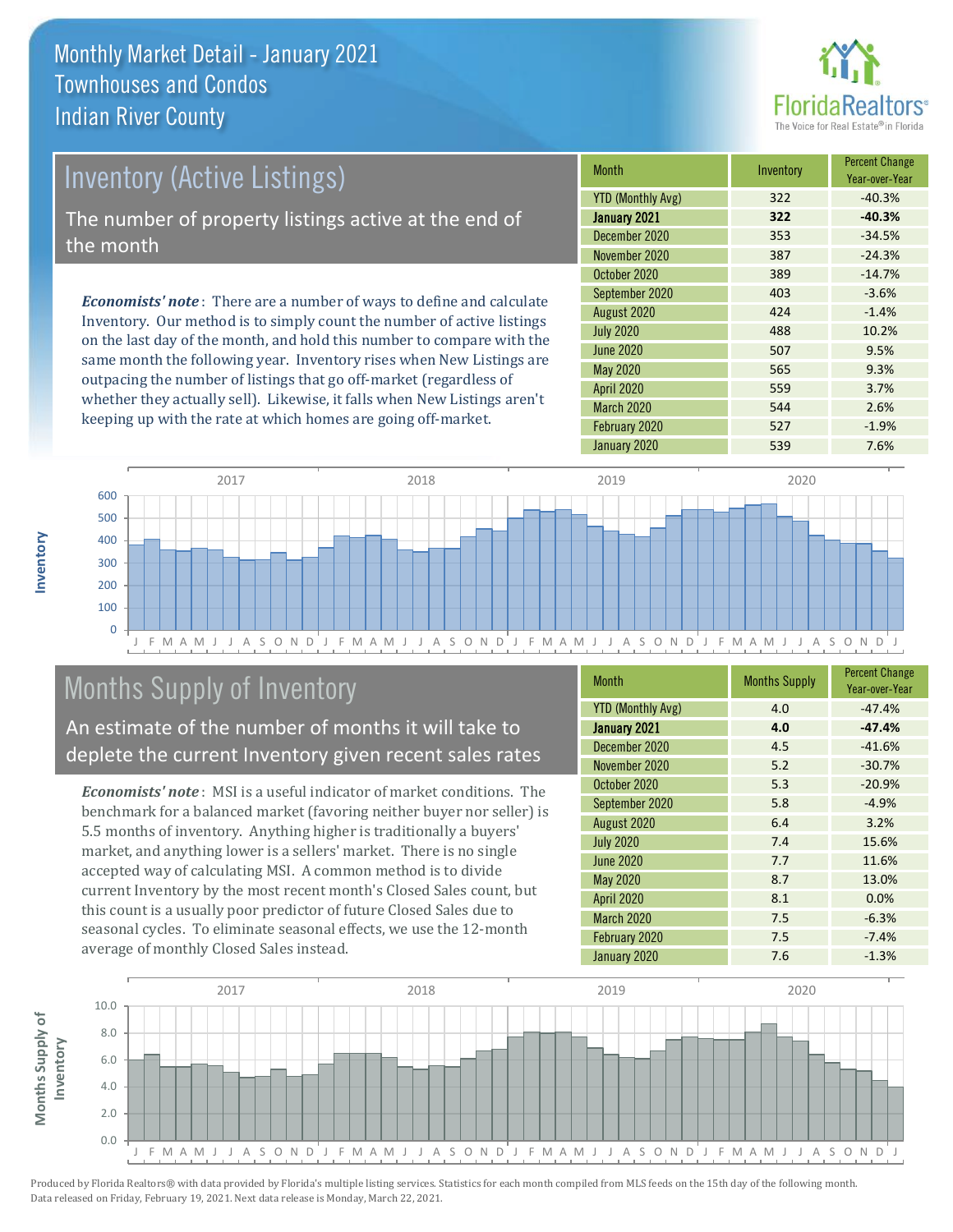

## Inventory (Active Listings) The number of property listings active at the end of the month

*Economists' note* : There are a number of ways to define and calculate Inventory. Our method is to simply count the number of active listings on the last day of the month, and hold this number to compare with the same month the following year. Inventory rises when New Listings are outpacing the number of listings that go off-market (regardless of whether they actually sell). Likewise, it falls when New Listings aren't keeping up with the rate at which homes are going off-market.

| Month                    | Inventory | <b>Percent Change</b><br>Year-over-Year |
|--------------------------|-----------|-----------------------------------------|
| <b>YTD (Monthly Avg)</b> | 322       | $-40.3%$                                |
| January 2021             | 322       | $-40.3%$                                |
| December 2020            | 353       | $-34.5%$                                |
| November 2020            | 387       | $-24.3%$                                |
| October 2020             | 389       | $-14.7%$                                |
| September 2020           | 403       | $-3.6%$                                 |
| August 2020              | 424       | $-1.4%$                                 |
| <b>July 2020</b>         | 488       | 10.2%                                   |
| <b>June 2020</b>         | 507       | 9.5%                                    |
| <b>May 2020</b>          | 565       | 9.3%                                    |
| <b>April 2020</b>        | 559       | 3.7%                                    |
| March 2020               | 544       | 2.6%                                    |
| February 2020            | 527       | $-1.9%$                                 |
| January 2020             | 539       | 7.6%                                    |



## Months Supply of Inventory

An estimate of the number of months it will take to deplete the current Inventory given recent sales rates

*Economists' note* : MSI is a useful indicator of market conditions. The benchmark for a balanced market (favoring neither buyer nor seller) is 5.5 months of inventory. Anything higher is traditionally a buyers' market, and anything lower is a sellers' market. There is no single accepted way of calculating MSI. A common method is to divide current Inventory by the most recent month's Closed Sales count, but this count is a usually poor predictor of future Closed Sales due to seasonal cycles. To eliminate seasonal effects, we use the 12-month average of monthly Closed Sales instead.

| <b>Month</b>             | <b>Months Supply</b> | <b>Percent Change</b><br>Year-over-Year |
|--------------------------|----------------------|-----------------------------------------|
| <b>YTD (Monthly Avg)</b> | 4.0                  | $-47.4%$                                |
| January 2021             | 4.0                  | $-47.4%$                                |
| December 2020            | 4.5                  | $-41.6%$                                |
| November 2020            | 5.2                  | $-30.7%$                                |
| October 2020             | 5.3                  | $-20.9%$                                |
| September 2020           | 5.8                  | $-4.9%$                                 |
| August 2020              | 6.4                  | 3.2%                                    |
| <b>July 2020</b>         | 7.4                  | 15.6%                                   |
| <b>June 2020</b>         | 7.7                  | 11.6%                                   |
| <b>May 2020</b>          | 8.7                  | 13.0%                                   |
| <b>April 2020</b>        | 8.1                  | 0.0%                                    |
| March 2020               | 7.5                  | $-6.3%$                                 |
| February 2020            | 7.5                  | $-7.4%$                                 |
| January 2020             | 7.6                  | $-1.3%$                                 |



**Inventory**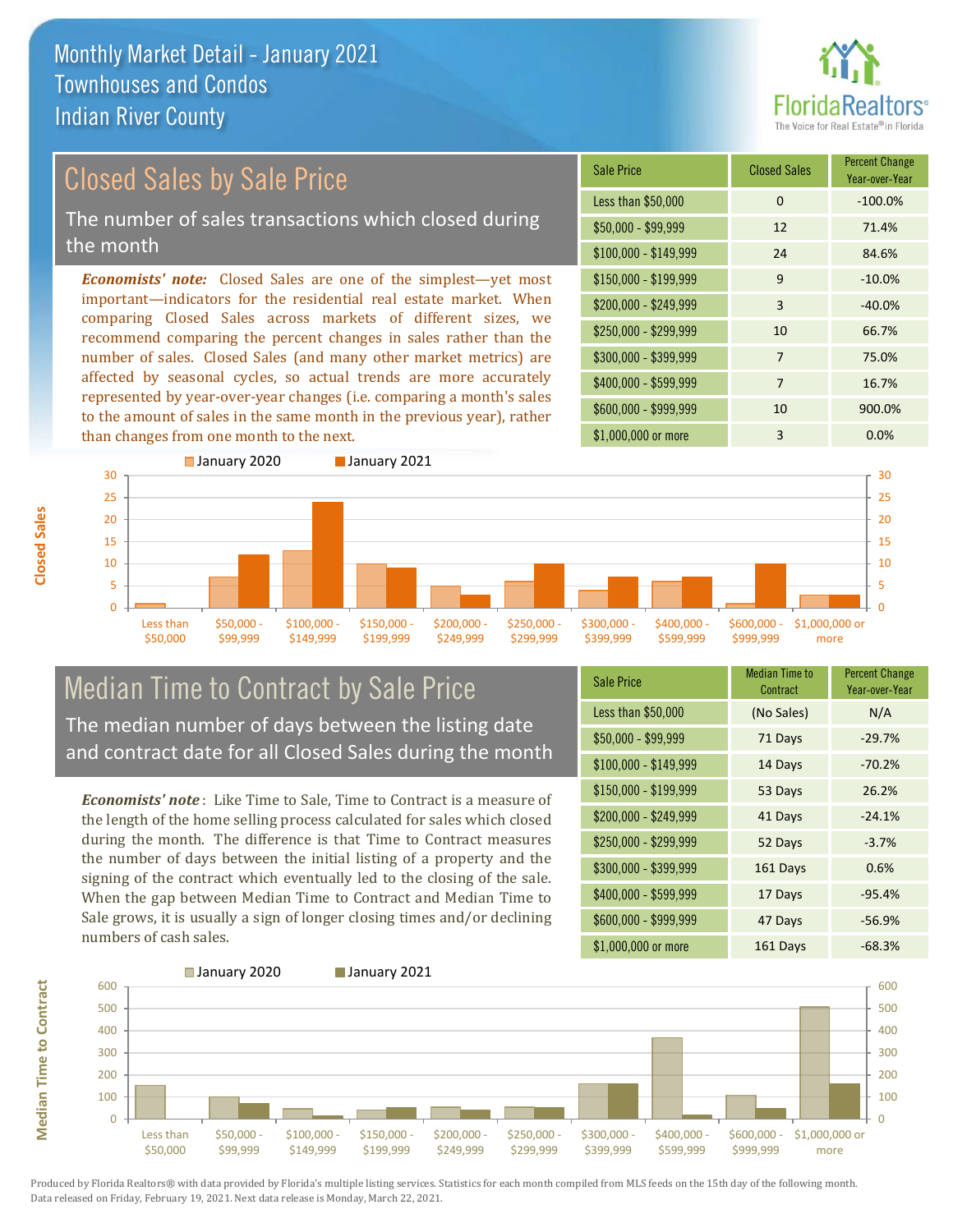

Year-over-Year

#### *Economists' note:* Closed Sales are one of the simplest—yet most important—indicators for the residential real estate market. When comparing Closed Sales across markets of different sizes, we recommend comparing the percent changes in sales rather than the number of sales. Closed Sales (and many other market metrics) are Sale Price Closed Sales Percent Change Less than \$50,000 0 0 -100.0% Closed Sales by Sale Price The number of sales transactions which closed during the month

affected by seasonal cycles, so actual trends are more accurately represented by year-over-year changes (i.e. comparing a month's sales to the amount of sales in the same month in the previous year), rather than changes from one month to the next.





## Median Time to Contract by Sale Price The median number of days between the listing date and contract date for all Closed Sales during the month

*Economists' note* : Like Time to Sale, Time to Contract is a measure of the length of the home selling process calculated for sales which closed during the month. The difference is that Time to Contract measures the number of days between the initial listing of a property and the signing of the contract which eventually led to the closing of the sale. When the gap between Median Time to Contract and Median Time to Sale grows, it is usually a sign of longer closing times and/or declining numbers of cash sales.

| <b>Sale Price</b>     | <b>Median Time to</b><br>Contract | <b>Percent Change</b><br>Year-over-Year |
|-----------------------|-----------------------------------|-----------------------------------------|
| Less than \$50,000    | (No Sales)                        | N/A                                     |
| $$50,000 - $99,999$   | 71 Days                           | $-29.7%$                                |
| $$100,000 - $149,999$ | 14 Days                           | $-70.2%$                                |
| \$150,000 - \$199,999 | 53 Days                           | 26.2%                                   |
| \$200,000 - \$249,999 | 41 Days                           | $-24.1%$                                |
| \$250,000 - \$299,999 | 52 Days                           | $-3.7%$                                 |
| \$300,000 - \$399,999 | 161 Days                          | 0.6%                                    |
| \$400,000 - \$599,999 | 17 Days                           | $-95.4%$                                |
| \$600,000 - \$999,999 | 47 Days                           | $-56.9%$                                |
| \$1,000,000 or more   | 161 Days                          | $-68.3%$                                |

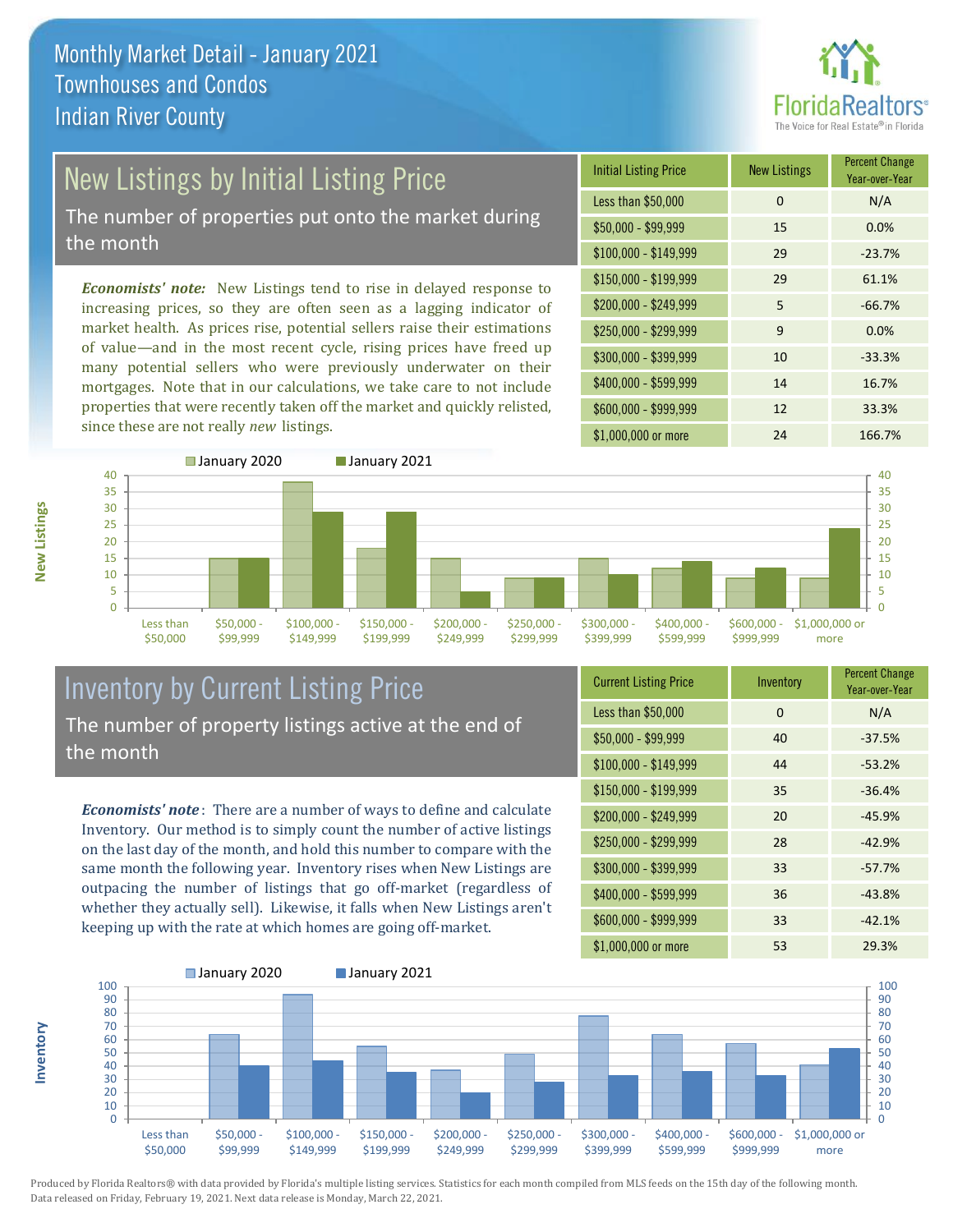

# New Listings by Initial Listing Price

The number of properties put onto the market during the month

*Economists' note:* New Listings tend to rise in delayed response to increasing prices, so they are often seen as a lagging indicator of market health. As prices rise, potential sellers raise their estimations of value—and in the most recent cycle, rising prices have freed up many potential sellers who were previously underwater on their mortgages. Note that in our calculations, we take care to not include properties that were recently taken off the market and quickly relisted, since these are not really *new* listings.





## Inventory by Current Listing Price The number of property listings active at the end of the month

*Economists' note* : There are a number of ways to define and calculate Inventory. Our method is to simply count the number of active listings on the last day of the month, and hold this number to compare with the same month the following year. Inventory rises when New Listings are outpacing the number of listings that go off-market (regardless of whether they actually sell). Likewise, it falls when New Listings aren't keeping up with the rate at which homes are going off-market.

| <b>Current Listing Price</b> | Inventory | <b>Percent Change</b><br>Year-over-Year |
|------------------------------|-----------|-----------------------------------------|
| Less than \$50,000           | 0         | N/A                                     |
| $$50,000 - $99,999$          | 40        | $-37.5%$                                |
| $$100,000 - $149,999$        | 44        | $-53.2%$                                |
| $$150,000 - $199,999$        | 35        | $-36.4%$                                |
| \$200,000 - \$249,999        | 20        | $-45.9%$                                |
| \$250,000 - \$299,999        | 28        | $-42.9%$                                |
| \$300,000 - \$399,999        | 33        | $-57.7%$                                |
| \$400,000 - \$599,999        | 36        | $-43.8%$                                |
| \$600,000 - \$999,999        | 33        | $-42.1%$                                |
| \$1,000,000 or more          | 53        | 29.3%                                   |



Produced by Florida Realtors® with data provided by Florida's multiple listing services. Statistics for each month compiled from MLS feeds on the 15th day of the following month. Data released on Friday, February 19, 2021. Next data release is Monday, March 22, 2021.

**Inventory**